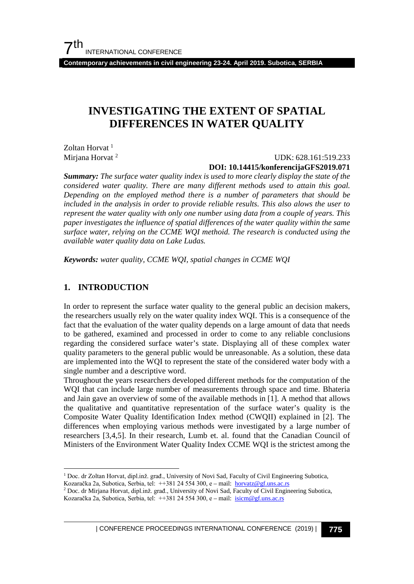**Contemporary achievements in civil engineering 23-24. April 2019. Subotica, SERBIA**

## **INVESTIGATING THE EXTENT OF SPATIAL DIFFERENCES IN WATER QUALITY**

Zoltan Horvat <sup>[1](#page-0-0)</sup> Mirjana Horvat<sup>[2](#page-0-1)</sup>

### UDK: 628.161:519.233 **DOI: 10.14415/konferencijaGFS2019.071**

*Summary: The surface water quality index is used to more clearly display the state of the considered water quality. There are many different methods used to attain this goal. Depending on the employed method there is a number of parameters that should be included in the analysis in order to provide reliable results. This also alows the user to represent the water quality with only one number using data from a couple of years. This paper investigates the influence of spatial differences of the water quality within the same surface water, relying on the CCME WQI methoid. The research is conducted using the available water quality data on Lake Ludas.* 

*Keywords: water quality, CCME WQI, spatial changes in CCME WQI*

### **1. INTRODUCTION**

In order to represent the surface water quality to the general public an decision makers, the researchers usually rely on the water quality index WQI. This is a consequence of the fact that the evaluation of the water quality depends on a large amount of data that needs to be gathered, examined and processed in order to come to any reliable conclusions regarding the considered surface water's state. Displaying all of these complex water quality parameters to the general public would be unreasonable. As a solution, these data are implemented into the WQI to represent the state of the considered water body with a single number and a descriptive word.

Throughout the years researchers developed different methods for the computation of the WQI that can include large number of measurements through space and time. Bhateria and Jain gave an overview of some of the available methods in [1]. A method that allows the qualitative and quantitative representation of the surface water's quality is the Composite Water Quality Identification Index method (CWQII) explained in [2]. The differences when employing various methods were investigated by a large number of researchers [3,4,5]. In their research, Lumb et. al. found that the Canadian Council of Ministers of the Environment Water Quality Index CCME WQI is the strictest among the

<span id="page-0-0"></span> <sup>1</sup> Doc. dr Zoltan Horvat, dipl.inž. građ., University of Novi Sad, Faculty of Civil Engineering Subotica,

Kozaračka 2a, Subotica, Serbia, tel: ++381 24 554 300, e – mail: [horvatz@gf.uns.ac.rs](mailto:horvatz@gf.uns.ac.rs)

<span id="page-0-1"></span><sup>2</sup> Doc. dr Mirjana Horvat, dipl.inž. građ., University of Novi Sad, Faculty of Civil Engineering Subotica,

Kozaračka 2a, Subotica, Serbia, tel: ++381 24 554 300, e – mail: [isicm@gf.uns.ac.rs](mailto:isicm@gf.uns.ac.rs)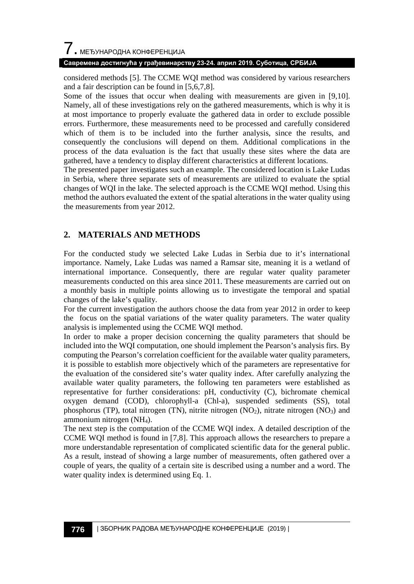#### **Савремена достигнућа у грађевинарству 23-24. април 2019. Суботица, СРБИЈА**

considered methods [5]. The CCME WQI method was considered by various researchers and a fair description can be found in [5,6,7,8].

Some of the issues that occur when dealing with measurements are given in [9,10]. Namely, all of these investigations rely on the gathered measurements, which is why it is at most importance to properly evaluate the gathered data in order to exclude possible errors. Furthermore, these measurements need to be processed and carefully considered which of them is to be included into the further analysis, since the results, and consequently the conclusions will depend on them. Additional complications in the process of the data evaluation is the fact that usually these sites where the data are gathered, have a tendency to display different characteristics at different locations.

The presented paper investigates such an example. The considered location is Lake Ludas in Serbia, where three separate sets of measurements are utilized to evaluate the sptial changes of WQI in the lake. The selected approach is the CCME WQI method. Using this method the authors evaluated the extent of the spatial alterations in the water quality using the measurements from year 2012.

## **2. MATERIALS AND METHODS**

For the conducted study we selected Lake Ludas in Serbia due to it's international importance. Namely, Lake Ludas was named a Ramsar site, meaning it is a wetland of international importance. Consequently, there are regular water quality parameter measurements conducted on this area since 2011. These measurements are carried out on a monthly basis in multiple points allowing us to investigate the temporal and spatial changes of the lake's quality.

For the current investigation the authors choose the data from year 2012 in order to keep the focus on the spatial variations of the water quality parameters. The water quality analysis is implemented using the CCME WQI method.

In order to make a proper decision concerning the quality parameters that should be included into the WQI computation, one should implement the Pearson's analysis firs. By computing the Pearson's correlation coefficient for the available water quality parameters, it is possible to establish more objectively which of the parameters are representative for the evaluation of the considered site's water quality index. After carefully analyzing the available water quality parameters, the following ten parameters were established as representative for further considerations: pH, conductivity (C), bichromate chemical oxygen demand (COD), chlorophyll-a (Chl-a), suspended sediments (SS), total phosphorus (TP), total nitrogen (TN), nitrite nitrogen  $(NO_2)$ , nitrate nitrogen  $(NO_3)$  and ammonium nitrogen (NH4).

The next step is the computation of the CCME WQI index. A detailed description of the CCME WQI method is found in [7,8]. This approach allows the researchers to prepare a more understandable representation of complicated scientific data for the general public. As a result, instead of showing a large number of measurements, often gathered over a couple of years, the quality of a certain site is described using a number and a word. The water quality index is determined using Eq. 1.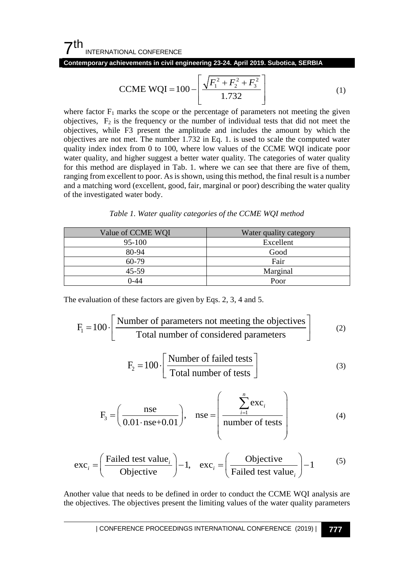**Contemporary achievements in civil engineering 23-24. April 2019. Subotica, SERBIA**

$$
CCME WQI = 100 - \left[ \frac{\sqrt{F_1^2 + F_2^2 + F_3^2}}{1.732} \right]
$$
 (1)

where factor  $F_1$  marks the scope or the percentage of parameters not meeting the given objectives,  $F_2$  is the frequency or the number of individual tests that did not meet the objectives, while F3 present the amplitude and includes the amount by which the objectives are not met. The number 1.732 in Eq. 1. is used to scale the computed water quality index index from 0 to 100, where low values of the CCME WQI indicate poor water quality, and higher suggest a better water quality. The categories of water quality for this method are displayed in Tab. 1. where we can see that there are five of them, ranging from excellent to poor. As is shown, using this method, the final result is a number and a matching word (excellent, good, fair, marginal or poor) describing the water quality of the investigated water body.

|  |  |  |  | Table 1. Water quality categories of the CCME WQI method |
|--|--|--|--|----------------------------------------------------------|
|--|--|--|--|----------------------------------------------------------|

| Value of CCME WOI | Water quality category |
|-------------------|------------------------|
| 95-100            | Excellent              |
| 80-94             | Good                   |
| $60-79$           | Fair                   |
| 45-59             | Marginal               |
| $0 - 44$          | Poor                   |

The evaluation of these factors are given by Eqs. 2, 3, 4 and 5.

$$
F_1 = 100 \cdot \left[ \frac{\text{Number of parameters not meeting the objectives}}{\text{Total number of considered parameters}} \right] \tag{2}
$$

$$
F_2 = 100 \cdot \left[ \frac{\text{Number of failed tests}}{\text{Total number of tests}} \right]
$$
 (3)

$$
F_3 = \left(\frac{\text{nse}}{0.01 \cdot \text{nse} + 0.01}\right), \quad \text{nse} = \left(\frac{\sum_{i=1}^{n} \text{exc}_i}{\text{number of tests}}\right)
$$
(4)

$$
\text{exc}_{i} = \left(\frac{\text{Failed test value}_{i}}{\text{Objective}}\right) - 1, \quad \text{exc}_{i} = \left(\frac{\text{Objective}}{\text{Failed test value}_{i}}\right) - 1 \tag{5}
$$

Another value that needs to be defined in order to conduct the CCME WQI analysis are the objectives. The objectives present the limiting values of the water quality parameters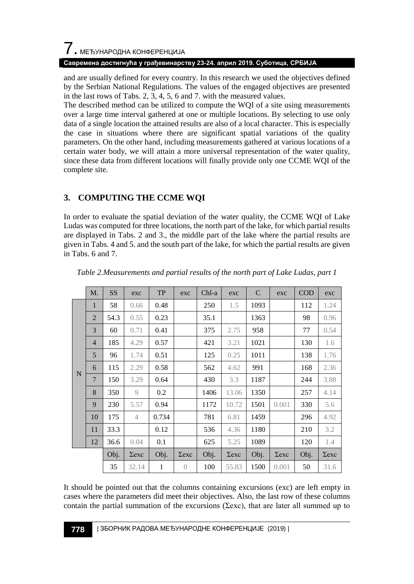# $\overline{\phantom{a}}$ . МЕЂУНАРОДНА КОНФЕРЕНЦИЈА

### **Савремена достигнућа у грађевинарству 23-24. април 2019. Суботица, СРБИЈА**

and are usually defined for every country. In this research we used the objectives defined by the Serbian National Regulations. The values of the engaged objectives are presented in the last rows of Tabs. 2, 3, 4, 5, 6 and 7. with the measured values.

The described method can be utilized to compute the WQI of a site using measurements over a large time interval gathered at one or multiple locations. By selecting to use only data of a single location the attained results are also of a local character. This is especially the case in situations where there are significant spatial variations of the quality parameters. On the other hand, including measurements gathered at various locations of a certain water body, we will attain a more universal representation of the water quality, since these data from different locations will finally provide only one CCME WQI of the complete site.

## **3. COMPUTING THE CCME WQI**

In order to evaluate the spatial deviation of the water quality, the CCME WQI of Lake Ludas was computed for three locations, the north part of the lake, for which partial results are displayed in Tabs. 2 and 3., the middle part of the lake where the partial results are given in Tabs. 4 and 5. and the south part of the lake, for which the partial results are given in Tabs. 6 and 7.

|   | M.             | <b>SS</b> | exc            | <b>TP</b> | exc              | $Chl-a$ | exc          | $\mathcal{C}$ | exc          | COD  | exc          |
|---|----------------|-----------|----------------|-----------|------------------|---------|--------------|---------------|--------------|------|--------------|
|   | 1              | 58        | 0.66           | 0.48      |                  | 250     | 1.5          | 1093          |              | 112  | 1.24         |
|   | $\overline{2}$ | 54.3      | 0.55           | 0.23      |                  | 35.1    |              | 1363          |              | 98   | 0.96         |
|   | 3              | 60        | 0.71           | 0.41      |                  | 375     | 2.75         | 958           |              | 77   | 0.54         |
|   | $\overline{4}$ | 185       | 4.29           | 0.57      |                  | 421     | 3.21         | 1021          |              | 130  | 1.6          |
|   | 5              | 96        | 1.74           | 0.51      |                  | 125     | 0.25         | 1011          |              | 138  | 1.76         |
| N | 6              | 115       | 2.29           | 0.58      |                  | 562     | 4.62         | 991           |              | 168  | 2.36         |
|   | $\overline{7}$ | 150       | 3.29           | 0.64      |                  | 430     | 3.3          | 1187          |              | 244  | 3.88         |
|   | 8              | 350       | 9              | 0.2       |                  | 1406    | 13.06        | 1350          |              | 257  | 4.14         |
|   | 9              | 230       | 5.57           | 0.94      |                  | 1172    | 10.72        | 1501          | 0.001        | 330  | 5.6          |
|   | 10             | 175       | $\overline{4}$ | 0.734     |                  | 781     | 6.81         | 1459          |              | 296  | 4.92         |
|   | 11             | 33.3      |                | 0.12      |                  | 536     | 4.36         | 1180          |              | 210  | 3.2          |
|   | 12             | 36.6      | 0.04           | 0.1       |                  | 625     | 5.25         | 1089          |              | 120  | 1.4          |
|   |                | Obj.      | $\Sigma$ exc   | Obj.      | $\Sigma$ exc     | Obj.    | $\Sigma$ exc | Obj.          | $\Sigma$ exc | Obj. | $\Sigma$ exc |
|   |                | 35        | 32.14          | 1         | $\left( \right)$ | 100     | 55.83        | 1500          | 0.001        | 50   | 31.6         |

*Table 2.Measurements and partial results of the north part of Lake Ludas, part 1*

It should be pointed out that the columns containing excursions (exc) are left empty in cases where the parameters did meet their objectives. Also, the last row of these columns contain the partial summation of the excursions ( $\Sigma$ exc), that are later all summed up to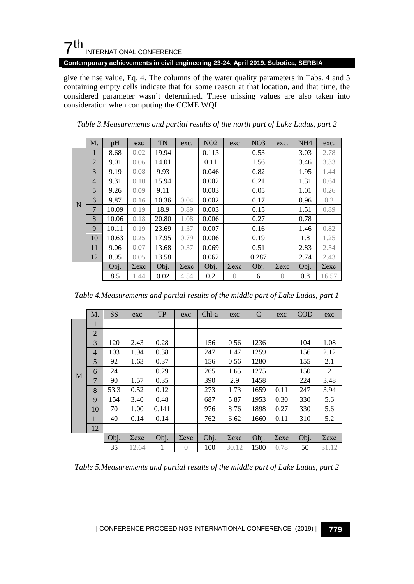## $7<sup>th</sup>$ INTERNATIONAL CONFERENCE

**Contemporary achievements in civil engineering 23-24. April 2019. Subotica, SERBIA**

give the nse value, Eq. 4. The columns of the water quality parameters in Tabs. 4 and 5 containing empty cells indicate that for some reason at that location, and that time, the considered parameter wasn't determined. These missing values are also taken into consideration when computing the CCME WQI.

|   | M.             | pH    | exc        | <b>TN</b> | exc.         | NO2   | exc          | NO <sub>3</sub> | exc.             | NH <sub>4</sub> | exc.         |
|---|----------------|-------|------------|-----------|--------------|-------|--------------|-----------------|------------------|-----------------|--------------|
|   | 1              | 8.68  | 0.02       | 19.94     |              | 0.113 |              | 0.53            |                  | 3.03            | 2.78         |
|   | $\overline{2}$ | 9.01  | 0.06       | 14.01     |              | 0.11  |              | 1.56            |                  | 3.46            | 3.33         |
|   | 3              | 9.19  | 0.08       | 9.93      |              | 0.046 |              | 0.82            |                  | 1.95            | 1.44         |
|   | $\overline{4}$ | 9.31  | 0.10       | 15.94     |              | 0.002 |              | 0.21            |                  | 1.31            | 0.64         |
|   | 5              | 9.26  | 0.09       | 9.11      |              | 0.003 |              | 0.05            |                  | 1.01            | 0.26         |
| N | 6              | 9.87  | 0.16       | 10.36     | 0.04         | 0.002 |              | 0.17            |                  | 0.96            | 0.2          |
|   | 7              | 10.09 | 0.19       | 18.9      | 0.89         | 0.003 |              | 0.15            |                  | 1.51            | 0.89         |
|   | 8              | 10.06 | 0.18       | 20.80     | 1.08         | 0.006 |              | 0.27            |                  | 0.78            |              |
|   | 9              | 10.11 | 0.19       | 23.69     | 1.37         | 0.007 |              | 0.16            |                  | 1.46            | 0.82         |
|   | 10             | 10.63 | 0.25       | 17.95     | 0.79         | 0.006 |              | 0.19            |                  | 1.8             | 1.25         |
|   | 11             | 9.06  | 0.07       | 13.68     | 0.37         | 0.069 |              | 0.51            |                  | 2.83            | 2.54         |
|   | 12             | 8.95  | 0.05       | 13.58     |              | 0.062 |              | 0.287           |                  | 2.74            | 2.43         |
|   |                | Obj.  | $\sum$ exc | Obj.      | $\Sigma$ exc | Obj.  | $\Sigma$ exc | Obj.            | $\Sigma$ exc     | Obj.            | $\Sigma$ exc |
|   |                | 8.5   | 1.44       | 0.02      | 4.54         | 0.2   | $\bigcap$    | 6               | $\left( \right)$ | 0.8             | 16.57        |

*Table 3.Measurements and partial results of the north part of Lake Ludas, part 2*

| Table 4. Measurements and partial results of the middle part of Lake Ludas, part 1 |  |  |  |  |
|------------------------------------------------------------------------------------|--|--|--|--|
|------------------------------------------------------------------------------------|--|--|--|--|

|   | M.             | <b>SS</b> | exc          | <b>TP</b> | exc          | $Chl-a$ | exc          | $\mathcal{C}$ | exc          | COD  | exc        |
|---|----------------|-----------|--------------|-----------|--------------|---------|--------------|---------------|--------------|------|------------|
|   | 1              |           |              |           |              |         |              |               |              |      |            |
|   | $\overline{2}$ |           |              |           |              |         |              |               |              |      |            |
|   | 3              | 120       | 2.43         | 0.28      |              | 156     | 0.56         | 1236          |              | 104  | 1.08       |
|   | $\overline{4}$ | 103       | 1.94         | 0.38      |              | 247     | 1.47         | 1259          |              | 156  | 2.12       |
|   | 5              | 92        | 1.63         | 0.37      |              | 156     | 0.56         | 1280          |              | 155  | 2.1        |
|   | 6              | 24        |              | 0.29      |              | 265     | 1.65         | 1275          |              | 150  | 2          |
| M | $\overline{7}$ | 90        | 1.57         | 0.35      |              | 390     | 2.9          | 1458          |              | 224  | 3.48       |
|   | 8              | 53.3      | 0.52         | 0.12      |              | 273     | 1.73         | 1659          | 0.11         | 247  | 3.94       |
|   | 9              | 154       | 3.40         | 0.48      |              | 687     | 5.87         | 1953          | 0.30         | 330  | 5.6        |
|   | 10             | 70        | 1.00         | 0.141     |              | 976     | 8.76         | 1898          | 0.27         | 330  | 5.6        |
|   | 11             | 40        | 0.14         | 0.14      |              | 762     | 6.62         | 1660          | 0.11         | 310  | 5.2        |
|   | 12             |           |              |           |              |         |              |               |              |      |            |
|   |                | Obj.      | $\Sigma$ exc | Obj.      | $\Sigma$ exc | Obj.    | $\Sigma$ exc | Obj.          | $\Sigma$ exc | Obj. | $\sum$ exc |
|   |                | 35        | 12.64        | 1         | $\theta$     | 100     | 30.12        | 1500          | 0.78         | 50   | 31.12      |

*Table 5.Measurements and partial results of the middle part of Lake Ludas, part 2*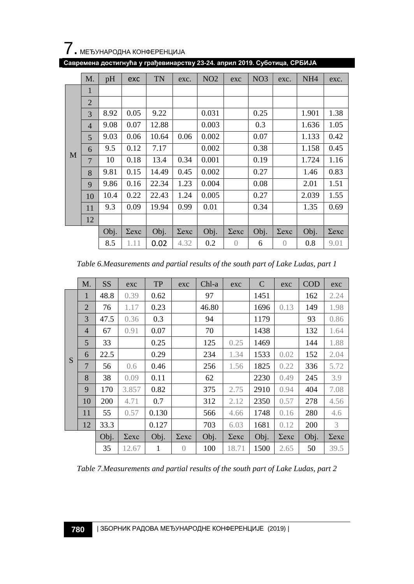

|  | Савремена достигнућа у грађевинарству 23-24. април 2019. Суботица, СРБИЈА |  |  |
|--|---------------------------------------------------------------------------|--|--|
|--|---------------------------------------------------------------------------|--|--|

|   | M.             | pH   | exc        | TN    | exc.         | NO <sub>2</sub> | exc              | NO <sub>3</sub> | exc.           | NH <sub>4</sub> | exc.       |
|---|----------------|------|------------|-------|--------------|-----------------|------------------|-----------------|----------------|-----------------|------------|
|   | 1              |      |            |       |              |                 |                  |                 |                |                 |            |
|   | $\overline{2}$ |      |            |       |              |                 |                  |                 |                |                 |            |
|   | 3              | 8.92 | 0.05       | 9.22  |              | 0.031           |                  | 0.25            |                | 1.901           | 1.38       |
|   | $\overline{4}$ | 9.08 | 0.07       | 12.88 |              | 0.003           |                  | 0.3             |                | 1.636           | 1.05       |
|   | 5              | 9.03 | 0.06       | 10.64 | 0.06         | 0.002           |                  | 0.07            |                | 1.133           | 0.42       |
|   | 6              | 9.5  | 0.12       | 7.17  |              | 0.002           |                  | 0.38            |                | 1.158           | 0.45       |
| M | 7              | 10   | 0.18       | 13.4  | 0.34         | 0.001           |                  | 0.19            |                | 1.724           | 1.16       |
|   | 8              | 9.81 | 0.15       | 14.49 | 0.45         | 0.002           |                  | 0.27            |                | 1.46            | 0.83       |
|   | 9              | 9.86 | 0.16       | 22.34 | 1.23         | 0.004           |                  | 0.08            |                | 2.01            | 1.51       |
|   | 10             | 10.4 | 0.22       | 22.43 | 1.24         | 0.005           |                  | 0.27            |                | 2.039           | 1.55       |
|   | 11             | 9.3  | 0.09       | 19.94 | 0.99         | 0.01            |                  | 0.34            |                | 1.35            | 0.69       |
|   | 12             |      |            |       |              |                 |                  |                 |                |                 |            |
|   |                | Obj. | $\sum$ exc | Obj.  | $\Sigma$ exc | Obj.            | $\Sigma$ exc     | Obj.            | $\sum$ exc     | Obj.            | $\sum$ exc |
|   |                | 8.5  | 1.11       | 0.02  | 4.32         | 0.2             | $\left( \right)$ | 6               | $\overline{0}$ | 0.8             | 9.01       |

*Table 6.Measurements and partial results of the south part of Lake Ludas, part 1*

|   | $M_{\cdot}$    | <b>SS</b> | exc        | ${\rm TP}$ | exc              | $Chl-a$ | exc          | $\mathcal{C}$ | exc          | <b>COD</b> | exc        |
|---|----------------|-----------|------------|------------|------------------|---------|--------------|---------------|--------------|------------|------------|
|   | 1              | 48.8      | 0.39       | 0.62       |                  | 97      |              | 1451          |              | 162        | 2.24       |
|   | $\overline{2}$ | 76        | 1.17       | 0.23       |                  | 46.80   |              | 1696          | 0.13         | 149        | 1.98       |
|   | 3              | 47.5      | 0.36       | 0.3        |                  | 94      |              | 1179          |              | 93         | 0.86       |
|   | $\overline{4}$ | 67        | 0.91       | 0.07       |                  | 70      |              | 1438          |              | 132        | 1.64       |
|   | 5              | 33        |            | 0.25       |                  | 125     | 0.25         | 1469          |              | 144        | 1.88       |
| S | 6              | 22.5      |            | 0.29       |                  | 234     | 1.34         | 1533          | 0.02         | 152        | 2.04       |
|   | 7              | 56        | 0.6        | 0.46       |                  | 256     | 1.56         | 1825          | 0.22         | 336        | 5.72       |
|   | 8              | 38        | 0.09       | 0.11       |                  | 62      |              | 2230          | 0.49         | 245        | 3.9        |
|   | 9              | 170       | 3.857      | 0.82       |                  | 375     | 2.75         | 2910          | 0.94         | 404        | 7.08       |
|   | 10             | 200       | 4.71       | 0.7        |                  | 312     | 2.12         | 2350          | 0.57         | 278        | 4.56       |
|   | 11             | 55        | 0.57       | 0.130      |                  | 566     | 4.66         | 1748          | 0.16         | 280        | 4.6        |
|   | 12             | 33.3      |            | 0.127      |                  | 703     | 6.03         | 1681          | 0.12         | 200        | 3          |
|   |                | Obj.      | $\sum$ exc | Obj.       | $\Sigma$ exc     | Obj.    | $\Sigma$ exc | Obj.          | $\Sigma$ exc | Obj.       | $\sum$ exc |
|   |                | 35        | 12.67      | 1          | $\left( \right)$ | 100     | 18.71        | 1500          | 2.65         | 50         | 39.5       |

*Table 7.Measurements and partial results of the south part of Lake Ludas, part 2*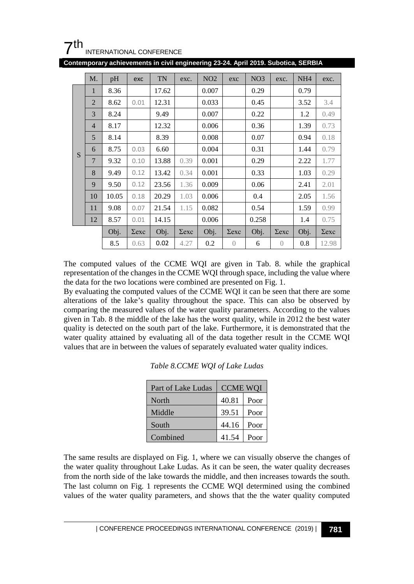

| Contemporary achievements in civil engineering 23-24. April 2019. Subotica, SERBIA |  |  |
|------------------------------------------------------------------------------------|--|--|
|------------------------------------------------------------------------------------|--|--|

|   | $M_{\cdot}$    | pH    | exc          | <b>TN</b> | exc.         | NO <sub>2</sub> | exc          | NO <sub>3</sub> | exc.         | NH <sub>4</sub> | exc.       |
|---|----------------|-------|--------------|-----------|--------------|-----------------|--------------|-----------------|--------------|-----------------|------------|
|   | $\mathbf{1}$   | 8.36  |              | 17.62     |              | 0.007           |              | 0.29            |              | 0.79            |            |
|   | $\overline{2}$ | 8.62  | 0.01         | 12.31     |              | 0.033           |              | 0.45            |              | 3.52            | 3.4        |
|   | 3              | 8.24  |              | 9.49      |              | 0.007           |              | 0.22            |              | 1.2             | 0.49       |
|   | $\overline{4}$ | 8.17  |              | 12.32     |              | 0.006           |              | 0.36            |              | 1.39            | 0.73       |
|   | 5              | 8.14  |              | 8.39      |              | 0.008           |              | 0.07            |              | 0.94            | 0.18       |
| S | 6              | 8.75  | 0.03         | 6.60      |              | 0.004           |              | 0.31            |              | 1.44            | 0.79       |
|   | 7              | 9.32  | 0.10         | 13.88     | 0.39         | 0.001           |              | 0.29            |              | 2.22            | 1.77       |
|   | 8              | 9.49  | 0.12         | 13.42     | 0.34         | 0.001           |              | 0.33            |              | 1.03            | 0.29       |
|   | 9              | 9.50  | 0.12         | 23.56     | 1.36         | 0.009           |              | 0.06            |              | 2.41            | 2.01       |
|   | 10             | 10.05 | 0.18         | 20.29     | 1.03         | 0.006           |              | 0.4             |              | 2.05            | 1.56       |
|   | 11             | 9.08  | 0.07         | 21.54     | 1.15         | 0.082           |              | 0.54            |              | 1.59            | 0.99       |
|   | 12             | 8.57  | 0.01         | 14.15     |              | 0.006           |              | 0.258           |              | 1.4             | 0.75       |
|   |                | Obj.  | $\Sigma$ exc | Obj.      | $\Sigma$ exc | Obj.            | $\Sigma$ exc | Obj.            | $\Sigma$ exc | Obj.            | $\sum$ exc |
|   |                | 8.5   | 0.63         | 0.02      | 4.27         | 0.2             | $\bigcirc$   | 6               | $\bigcirc$   | 0.8             | 12.98      |

The computed values of the CCME WQI are given in Tab. 8. while the graphical representation of the changes in the CCME WQI through space, including the value where the data for the two locations were combined are presented on Fig. 1.

By evaluating the computed values of the CCME WQI it can be seen that there are some alterations of the lake's quality throughout the space. This can also be observed by comparing the measured values of the water quality parameters. According to the values given in Tab. 8 the middle of the lake has the worst quality, while in 2012 the best water quality is detected on the south part of the lake. Furthermore, it is demonstrated that the water quality attained by evaluating all of the data together result in the CCME WQI values that are in between the values of separately evaluated water quality indices.

| Part of Lake Ludas | <b>CCME WOI</b> |      |  |  |
|--------------------|-----------------|------|--|--|
| North              | 40.81           | Poor |  |  |
| Middle             | 39.51           | Poor |  |  |
| South              | 44.16           | Poor |  |  |
| Combined           | 41.54           | Poor |  |  |

The same results are displayed on Fig. 1, where we can visually observe the changes of the water quality throughout Lake Ludas. As it can be seen, the water quality decreases from the north side of the lake towards the middle, and then increases towards the south. The last column on Fig. 1 represents the CCME WQI determined using the combined values of the water quality parameters, and shows that the the water quality computed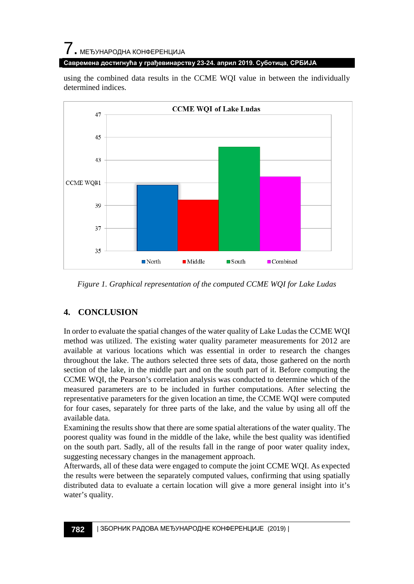# $\overline{\phantom{a}}$ . МЕЂУНАРОДНА КОНФЕРЕНЦИЈА

### **Савремена достигнућа у грађевинарству 23-24. април 2019. Суботица, СРБИЈА**

using the combined data results in the CCME WQI value in between the individually determined indices.



*Figure 1. Graphical representation of the computed CCME WQI for Lake Ludas*

## **4. CONCLUSION**

In order to evaluate the spatial changes of the water quality of Lake Ludas the CCME WQI method was utilized. The existing water quality parameter measurements for 2012 are available at various locations which was essential in order to research the changes throughout the lake. The authors selected three sets of data, those gathered on the north section of the lake, in the middle part and on the south part of it. Before computing the CCME WQI, the Pearson's correlation analysis was conducted to determine which of the measured parameters are to be included in further computations. After selecting the representative parameters for the given location an time, the CCME WQI were computed for four cases, separately for three parts of the lake, and the value by using all off the available data.

Examining the results show that there are some spatial alterations of the water quality. The poorest quality was found in the middle of the lake, while the best quality was identified on the south part. Sadly, all of the results fall in the range of poor water quality index, suggesting necessary changes in the management approach.

Afterwards, all of these data were engaged to compute the joint CCME WQI. As expected the results were between the separately computed values, confirming that using spatially distributed data to evaluate a certain location will give a more general insight into it's water's quality.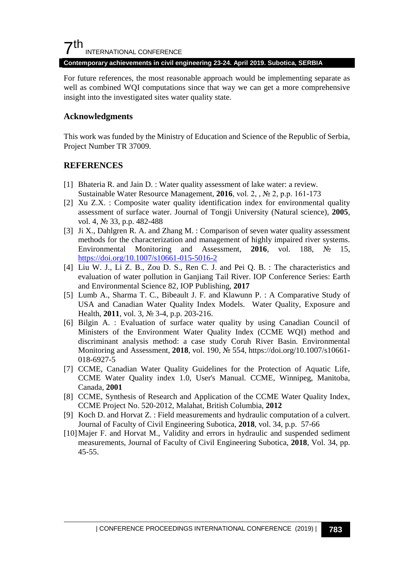## $7<sup>th</sup>$ INTERNATIONAL CONFERENCE

#### **Contemporary achievements in civil engineering 23-24. April 2019. Subotica, SERBIA**

For future references, the most reasonable approach would be implementing separate as well as combined WQI computations since that way we can get a more comprehensive insight into the investigated sites water quality state.

### **Acknowledgments**

This work was funded by the Ministry of Education and Science of the Republic of Serbia, Project Number TR 37009.

### **REFERENCES**

- [1] Bhateria R. and Jain D. : Water quality assessment of lake water: a review. Sustainable Water Resource Management, **2016**, vol. 2, , № 2, p.p. 161-173
- [2] Xu Z.X. : Composite water quality identification index for environmental quality assessment of surface water. Journal of Tongji University (Natural science), **2005**, vol. 4, № 33, p.p. 482-488
- [3] Ji X., Dahlgren R. A. and Zhang M. : Comparison of seven water quality assessment methods for the characterization and management of highly impaired river systems. Environmental Monitoring and Assessment, **2016**, vol. 188, № 15, <https://doi.org/10.1007/s10661-015-5016-2>
- [4] Liu W. J., Li Z. B., Zou D. S., Ren C. J. and Pei Q. B. : The characteristics and evaluation of water pollution in Ganjiang Tail River. IOP Conference Series: Earth and Environmental Science 82, IOP Publishing, **2017**
- [5] Lumb A., Sharma T. C., Bibeault J. F. and Klawunn P. : A Comparative Study of USA and Canadian Water Quality Index Models. Water Quality, Exposure and Health, **2011**, vol. 3, № 3-4, p.p. 203-216.
- [6] Bilgin A. : Evaluation of surface water quality by using Canadian Council of Ministers of the Environment Water Quality Index (CCME WQI) method and discriminant analysis method: a case study Coruh River Basin. Environmental Monitoring and Assessment, **2018**, vol. 190, № 554, https://doi.org/10.1007/s10661- 018-6927-5
- [7] CCME, Canadian Water Quality Guidelines for the Protection of Aquatic Life, CCME Water Quality index 1.0, User's Manual. CCME, Winnipeg, Manitoba, Canada, **2001**
- [8] CCME, Synthesis of Research and Application of the CCME Water Quality Index, CCME Project No. 520-2012, Malahat, British Columbia, **2012**
- [9] Koch D. and Horvat Z. : Field measurements and hydraulic computation of a culvert. Journal of Faculty of Civil Engineering Subotica, **2018**, vol. 34, p.p. 57-66
- [10]Majer F. and Horvat M., Validity and errors in hydraulic and suspended sediment measurements, Journal of Faculty of Civil Engineering Subotica, **2018**, Vol. 34, pp. 45-55.